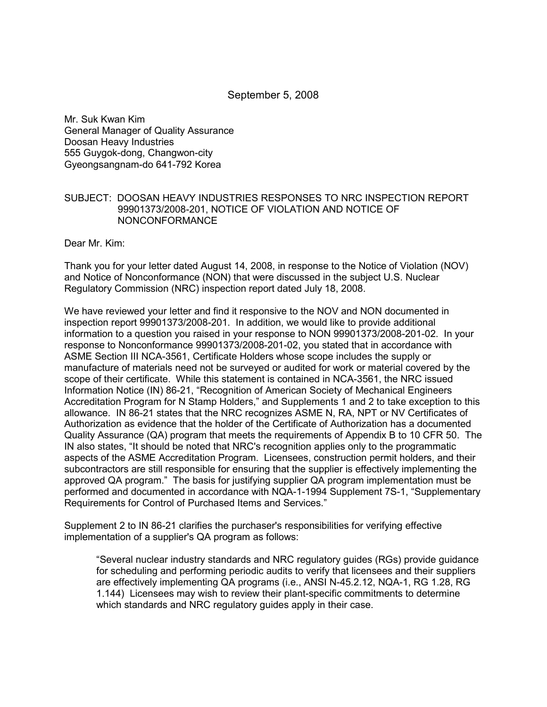September 5, 2008

Mr. Suk Kwan Kim General Manager of Quality Assurance Doosan Heavy Industries 555 Guygok-dong, Changwon-city Gyeongsangnam-do 641-792 Korea

# SUBJECT: DOOSAN HEAVY INDUSTRIES RESPONSES TO NRC INSPECTION REPORT 99901373/2008-201, NOTICE OF VIOLATION AND NOTICE OF NONCONFORMANCE

Dear Mr. Kim:

Thank you for your letter dated August 14, 2008, in response to the Notice of Violation (NOV) and Notice of Nonconformance (NON) that were discussed in the subject U.S. Nuclear Regulatory Commission (NRC) inspection report dated July 18, 2008.

We have reviewed your letter and find it responsive to the NOV and NON documented in inspection report 99901373/2008-201. In addition, we would like to provide additional information to a question you raised in your response to NON 99901373/2008-201-02. In your response to Nonconformance 99901373/2008-201-02, you stated that in accordance with ASME Section III NCA-3561, Certificate Holders whose scope includes the supply or manufacture of materials need not be surveyed or audited for work or material covered by the scope of their certificate. While this statement is contained in NCA-3561, the NRC issued Information Notice (IN) 86-21, "Recognition of American Society of Mechanical Engineers Accreditation Program for N Stamp Holders," and Supplements 1 and 2 to take exception to this allowance. IN 86-21 states that the NRC recognizes ASME N, RA, NPT or NV Certificates of Authorization as evidence that the holder of the Certificate of Authorization has a documented Quality Assurance (QA) program that meets the requirements of Appendix B to 10 CFR 50. The IN also states, "It should be noted that NRC's recognition applies only to the programmatic aspects of the ASME Accreditation Program. Licensees, construction permit holders, and their subcontractors are still responsible for ensuring that the supplier is effectively implementing the approved QA program." The basis for justifying supplier QA program implementation must be performed and documented in accordance with NQA-1-1994 Supplement 7S-1, "Supplementary Requirements for Control of Purchased Items and Services."

Supplement 2 to IN 86-21 clarifies the purchaser's responsibilities for verifying effective implementation of a supplier's QA program as follows:

"Several nuclear industry standards and NRC regulatory guides (RGs) provide guidance for scheduling and performing periodic audits to verify that licensees and their suppliers are effectively implementing QA programs (i.e., ANSI N-45.2.12, NQA-1, RG 1.28, RG 1.144) Licensees may wish to review their plant-specific commitments to determine which standards and NRC regulatory guides apply in their case.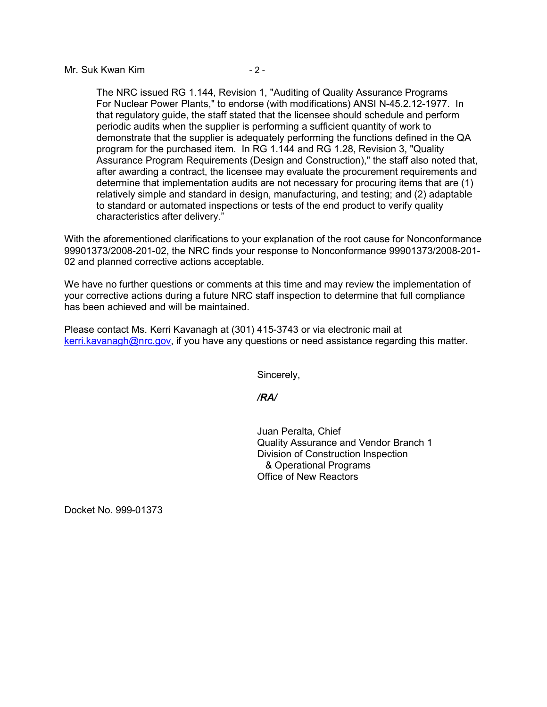### Mr. Suk Kwan Kim  $-2$  -

The NRC issued RG 1.144, Revision 1, "Auditing of Quality Assurance Programs For Nuclear Power Plants," to endorse (with modifications) ANSI N-45.2.12-1977. In that regulatory guide, the staff stated that the licensee should schedule and perform periodic audits when the supplier is performing a sufficient quantity of work to demonstrate that the supplier is adequately performing the functions defined in the QA program for the purchased item. In RG 1.144 and RG 1.28, Revision 3, "Quality Assurance Program Requirements (Design and Construction)," the staff also noted that, after awarding a contract, the licensee may evaluate the procurement requirements and determine that implementation audits are not necessary for procuring items that are (1) relatively simple and standard in design, manufacturing, and testing; and (2) adaptable to standard or automated inspections or tests of the end product to verify quality characteristics after delivery."

With the aforementioned clarifications to your explanation of the root cause for Nonconformance 99901373/2008-201-02, the NRC finds your response to Nonconformance 99901373/2008-201- 02 and planned corrective actions acceptable.

We have no further questions or comments at this time and may review the implementation of your corrective actions during a future NRC staff inspection to determine that full compliance has been achieved and will be maintained.

Please contact Ms. Kerri Kavanagh at (301) 415-3743 or via electronic mail at kerri.kavanagh@nrc.gov, if you have any questions or need assistance regarding this matter.

Sincerely,

## */RA/*

Juan Peralta, Chief Quality Assurance and Vendor Branch 1 Division of Construction Inspection & Operational Programs Office of New Reactors

Docket No. 999-01373